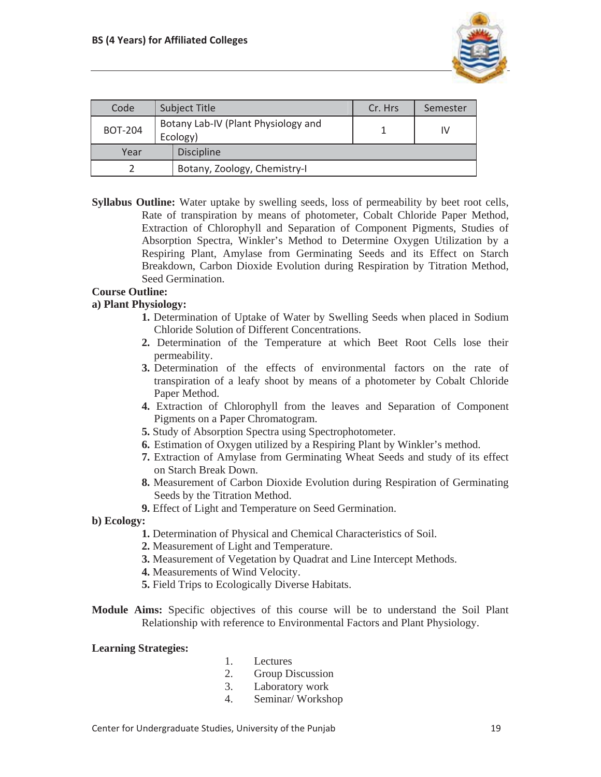

| Code           | <b>Subject Title</b>                            | Cr. Hrs | Semester |
|----------------|-------------------------------------------------|---------|----------|
| <b>BOT-204</b> | Botany Lab-IV (Plant Physiology and<br>Ecology) |         | IV       |
| Year           | <b>Discipline</b>                               |         |          |
|                | Botany, Zoology, Chemistry-I                    |         |          |

**Syllabus Outline:** Water uptake by swelling seeds, loss of permeability by beet root cells, Rate of transpiration by means of photometer, Cobalt Chloride Paper Method, Extraction of Chlorophyll and Separation of Component Pigments, Studies of Absorption Spectra, Winkler's Method to Determine Oxygen Utilization by a Respiring Plant, Amylase from Germinating Seeds and its Effect on Starch Breakdown, Carbon Dioxide Evolution during Respiration by Titration Method, Seed Germination.

# **Course Outline:**

## **a) Plant Physiology:**

- **1.** Determination of Uptake of Water by Swelling Seeds when placed in Sodium Chloride Solution of Different Concentrations.
- **2.** Determination of the Temperature at which Beet Root Cells lose their permeability.
- **3.** Determination of the effects of environmental factors on the rate of transpiration of a leafy shoot by means of a photometer by Cobalt Chloride Paper Method.
- **4.** Extraction of Chlorophyll from the leaves and Separation of Component Pigments on a Paper Chromatogram.
- **5.** Study of Absorption Spectra using Spectrophotometer.
- **6.** Estimation of Oxygen utilized by a Respiring Plant by Winkler's method.
- **7.** Extraction of Amylase from Germinating Wheat Seeds and study of its effect on Starch Break Down.
- **8.** Measurement of Carbon Dioxide Evolution during Respiration of Germinating Seeds by the Titration Method.
- **9.** Effect of Light and Temperature on Seed Germination.

#### **b) Ecology:**

- **1.** Determination of Physical and Chemical Characteristics of Soil.
- **2.** Measurement of Light and Temperature.
- **3.** Measurement of Vegetation by Quadrat and Line Intercept Methods.
- **4.** Measurements of Wind Velocity.
- **5.** Field Trips to Ecologically Diverse Habitats.
- **Module Aims:** Specific objectives of this course will be to understand the Soil Plant Relationship with reference to Environmental Factors and Plant Physiology.

#### **Learning Strategies:**

- 1. Lectures
- 2. Group Discussion
- 3. Laboratory work
- 4. Seminar/ Workshop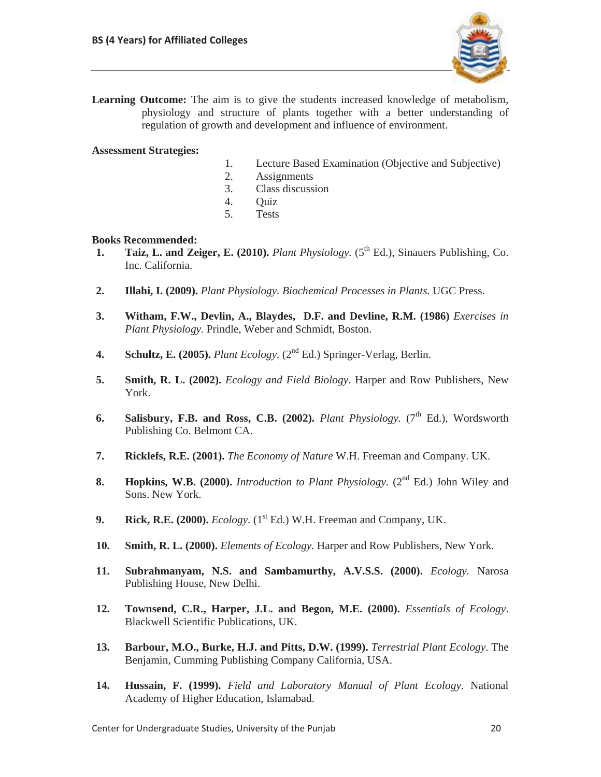

Learning Outcome: The aim is to give the students increased knowledge of metabolism, physiology and structure of plants together with a better understanding of regulation of growth and development and influence of environment.

### **Assessment Strategies:**

- 1. Lecture Based Examination (Objective and Subjective)
- 2. Assignments
- 3. Class discussion
- 4. Quiz
- 5. Tests

#### **Books Recommended:**

- **1.** Taiz, L. and Zeiger, E. (2010). *Plant Physiology.* (5<sup>th</sup> Ed.), Sinauers Publishing, Co. Inc. California.
- **2. Illahi, I. (2009).** *Plant Physiology. Biochemical Processes in Plants.* UGC Press.
- **3. Witham, F.W., Devlin, A., Blaydes, D.F. and Devline, R.M. (1986)** *Exercises in Plant Physiology.* Prindle, Weber and Schmidt, Boston.
- **4. Schultz, E. (2005).** *Plant Ecology.* (2nd Ed.) Springer-Verlag, Berlin.
- **5. Smith, R. L. (2002).** *Ecology and Field Biology.* Harper and Row Publishers, New York.
- **6.** Salisbury, F.B. and Ross, C.B. (2002). *Plant Physiology.*  $(7<sup>th</sup> Ed.)$ , Wordsworth Publishing Co. Belmont CA.
- **7. Ricklefs, R.E. (2001).** *The Economy of Nature* W.H. Freeman and Company. UK.
- **8. Hopkins, W.B. (2000).** *Introduction to Plant Physiology.* (2<sup>nd</sup> Ed.) John Wiley and Sons. New York.
- **9. Rick, R.E. (2000).** *Ecology*. (1st Ed.) W.H. Freeman and Company, UK.
- **10. Smith, R. L. (2000).** *Elements of Ecology.* Harper and Row Publishers, New York.
- **11. Subrahmanyam, N.S. and Sambamurthy, A.V.S.S. (2000).** *Ecology.* Narosa Publishing House, New Delhi.
- **12. Townsend, C.R., Harper, J.L. and Begon, M.E. (2000).** *Essentials of Ecology*. Blackwell Scientific Publications, UK.
- **13. Barbour, M.O., Burke, H.J. and Pitts, D.W. (1999).** *Terrestrial Plant Ecology*. The Benjamin, Cumming Publishing Company California, USA.
- **14. Hussain, F. (1999).** *Field and Laboratory Manual of Plant Ecology.* National Academy of Higher Education, Islamabad.